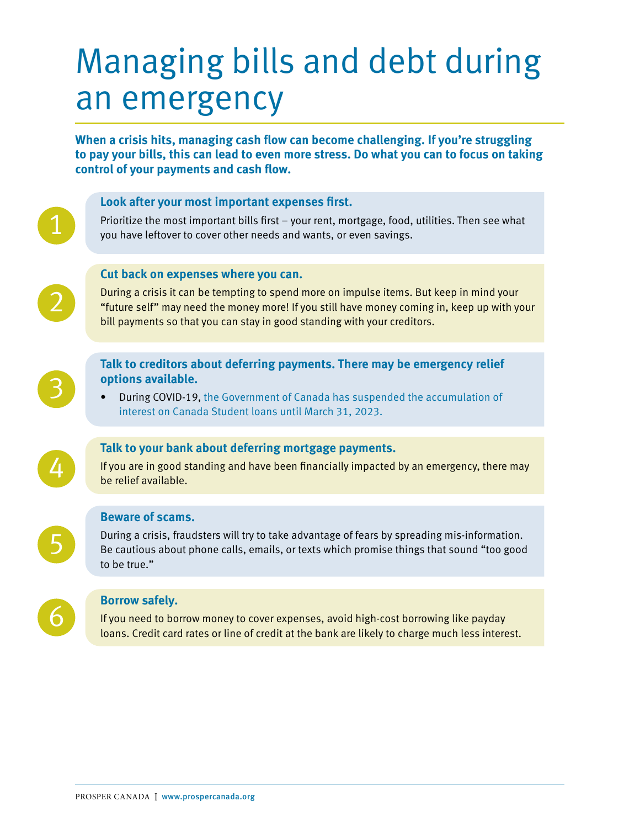# Managing bills and debt during an emergency

**When a crisis hits, managing cash flow can become challenging. If you're struggling to pay your bills, this can lead to even more stress. Do what you can to focus on taking control of your payments and cash flow.** 

# **Look after your most important expenses first.**  Prioritize the most important bills first – your rent, mortgage, food, utilities. Then see what you have leftover to cover other needs and wants, or even savings. **Cut back on expenses where you can.**  During a crisis it can be tempting to spend more on impulse items. But keep in mind your "future self" may need the money more! If you still have money coming in, keep up with your

bill payments so that you can stay in good standing with your creditors.

**Talk to creditors about deferring payments. There may be emergency relief** 

- **options available.**  • During COVID-19, [the Government of Canada has suspended the accumulation of](https://www.csnpe-nslsc.canada.ca/en/what-is-new)
- [interest on Canada Student loans until March 31, 2023.](https://www.csnpe-nslsc.canada.ca/en/what-is-new)



3

2

1

## **Talk to your bank about deferring mortgage payments.**

If you are in good standing and have been financially impacted by an emergency, there may be relief available.

### **Beware of scams.**

During a crisis, fraudsters will try to take advantage of fears by spreading mis-information. Be cautious about phone calls, emails, or texts which promise things that sound "too good to be true."



5

### **Borrow safely.**

If you need to borrow money to cover expenses, avoid high-cost borrowing like payday loans. Credit card rates or line of credit at the bank are likely to charge much less interest.